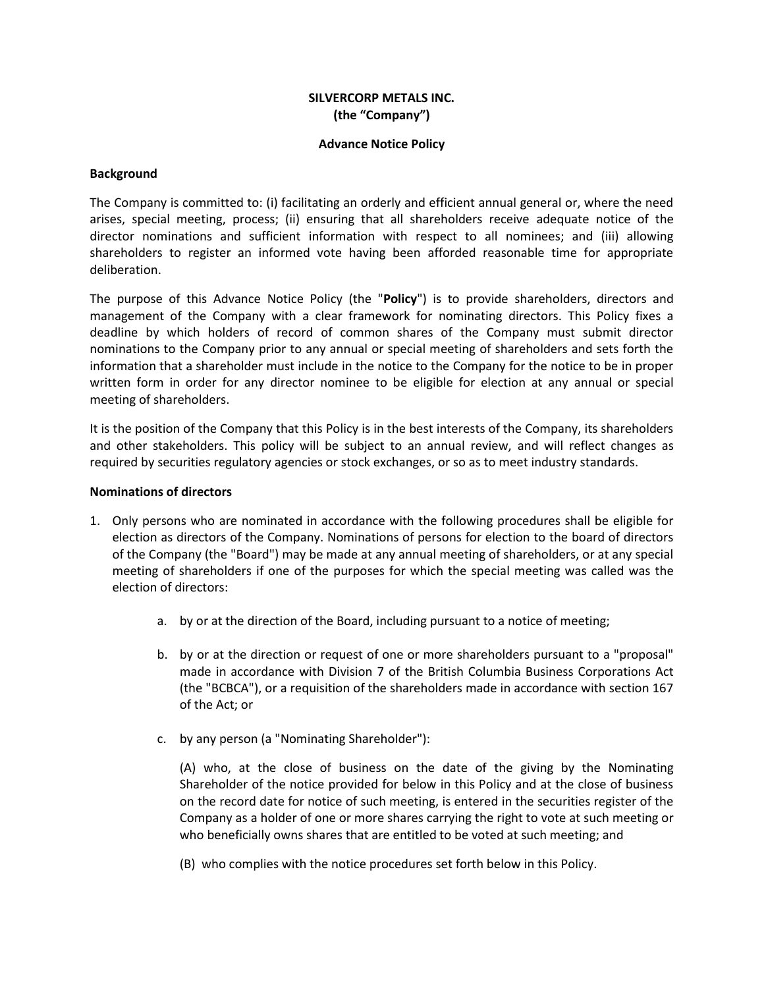# **SILVERCORP METALS INC. (the "Company")**

## **Advance Notice Policy**

## **Background**

The Company is committed to: (i) facilitating an orderly and efficient annual general or, where the need arises, special meeting, process; (ii) ensuring that all shareholders receive adequate notice of the director nominations and sufficient information with respect to all nominees; and (iii) allowing shareholders to register an informed vote having been afforded reasonable time for appropriate deliberation.

The purpose of this Advance Notice Policy (the "**Policy**") is to provide shareholders, directors and management of the Company with a clear framework for nominating directors. This Policy fixes a deadline by which holders of record of common shares of the Company must submit director nominations to the Company prior to any annual or special meeting of shareholders and sets forth the information that a shareholder must include in the notice to the Company for the notice to be in proper written form in order for any director nominee to be eligible for election at any annual or special meeting of shareholders.

It is the position of the Company that this Policy is in the best interests of the Company, its shareholders and other stakeholders. This policy will be subject to an annual review, and will reflect changes as required by securities regulatory agencies or stock exchanges, or so as to meet industry standards.

#### **Nominations of directors**

- 1. Only persons who are nominated in accordance with the following procedures shall be eligible for election as directors of the Company. Nominations of persons for election to the board of directors of the Company (the "Board") may be made at any annual meeting of shareholders, or at any special meeting of shareholders if one of the purposes for which the special meeting was called was the election of directors:
	- a. by or at the direction of the Board, including pursuant to a notice of meeting;
	- b. by or at the direction or request of one or more shareholders pursuant to a "proposal" made in accordance with Division 7 of the British Columbia Business Corporations Act (the "BCBCA"), or a requisition of the shareholders made in accordance with section 167 of the Act; or
	- c. by any person (a "Nominating Shareholder"):

(A) who, at the close of business on the date of the giving by the Nominating Shareholder of the notice provided for below in this Policy and at the close of business on the record date for notice of such meeting, is entered in the securities register of the Company as a holder of one or more shares carrying the right to vote at such meeting or who beneficially owns shares that are entitled to be voted at such meeting; and

(B) who complies with the notice procedures set forth below in this Policy.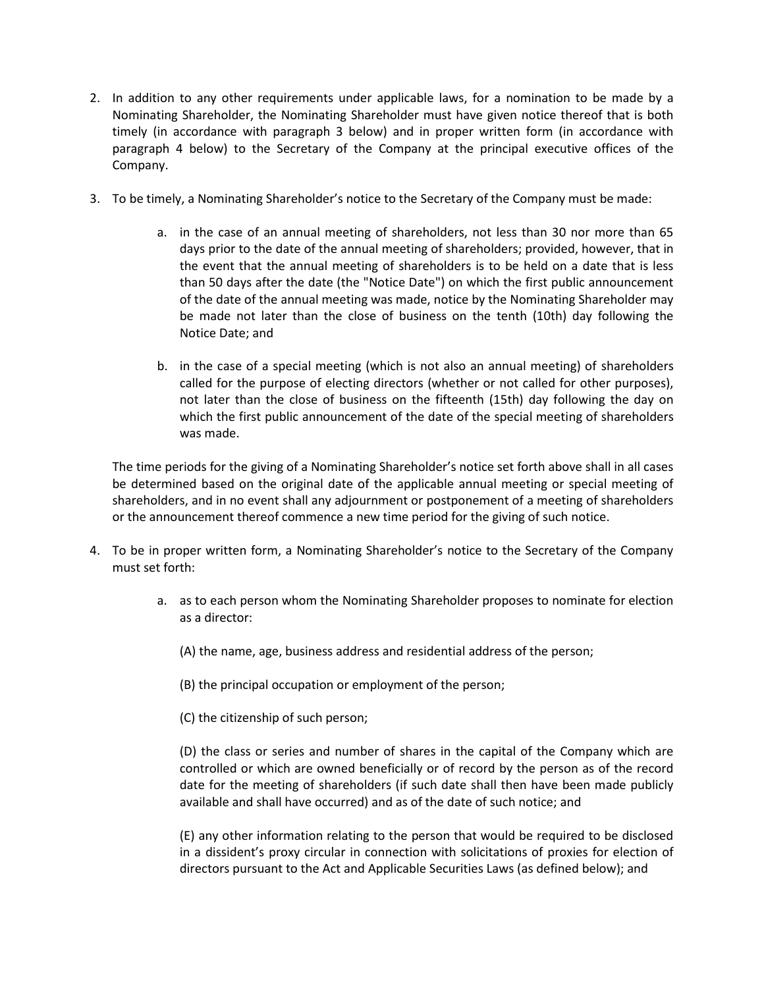- 2. In addition to any other requirements under applicable laws, for a nomination to be made by a Nominating Shareholder, the Nominating Shareholder must have given notice thereof that is both timely (in accordance with paragraph 3 below) and in proper written form (in accordance with paragraph 4 below) to the Secretary of the Company at the principal executive offices of the Company.
- 3. To be timely, a Nominating Shareholder's notice to the Secretary of the Company must be made:
	- a. in the case of an annual meeting of shareholders, not less than 30 nor more than 65 days prior to the date of the annual meeting of shareholders; provided, however, that in the event that the annual meeting of shareholders is to be held on a date that is less than 50 days after the date (the "Notice Date") on which the first public announcement of the date of the annual meeting was made, notice by the Nominating Shareholder may be made not later than the close of business on the tenth (10th) day following the Notice Date; and
	- b. in the case of a special meeting (which is not also an annual meeting) of shareholders called for the purpose of electing directors (whether or not called for other purposes), not later than the close of business on the fifteenth (15th) day following the day on which the first public announcement of the date of the special meeting of shareholders was made.

The time periods for the giving of a Nominating Shareholder's notice set forth above shall in all cases be determined based on the original date of the applicable annual meeting or special meeting of shareholders, and in no event shall any adjournment or postponement of a meeting of shareholders or the announcement thereof commence a new time period for the giving of such notice.

- 4. To be in proper written form, a Nominating Shareholder's notice to the Secretary of the Company must set forth:
	- a. as to each person whom the Nominating Shareholder proposes to nominate for election as a director:
		- (A) the name, age, business address and residential address of the person;
		- (B) the principal occupation or employment of the person;
		- (C) the citizenship of such person;

(D) the class or series and number of shares in the capital of the Company which are controlled or which are owned beneficially or of record by the person as of the record date for the meeting of shareholders (if such date shall then have been made publicly available and shall have occurred) and as of the date of such notice; and

(E) any other information relating to the person that would be required to be disclosed in a dissident's proxy circular in connection with solicitations of proxies for election of directors pursuant to the Act and Applicable Securities Laws (as defined below); and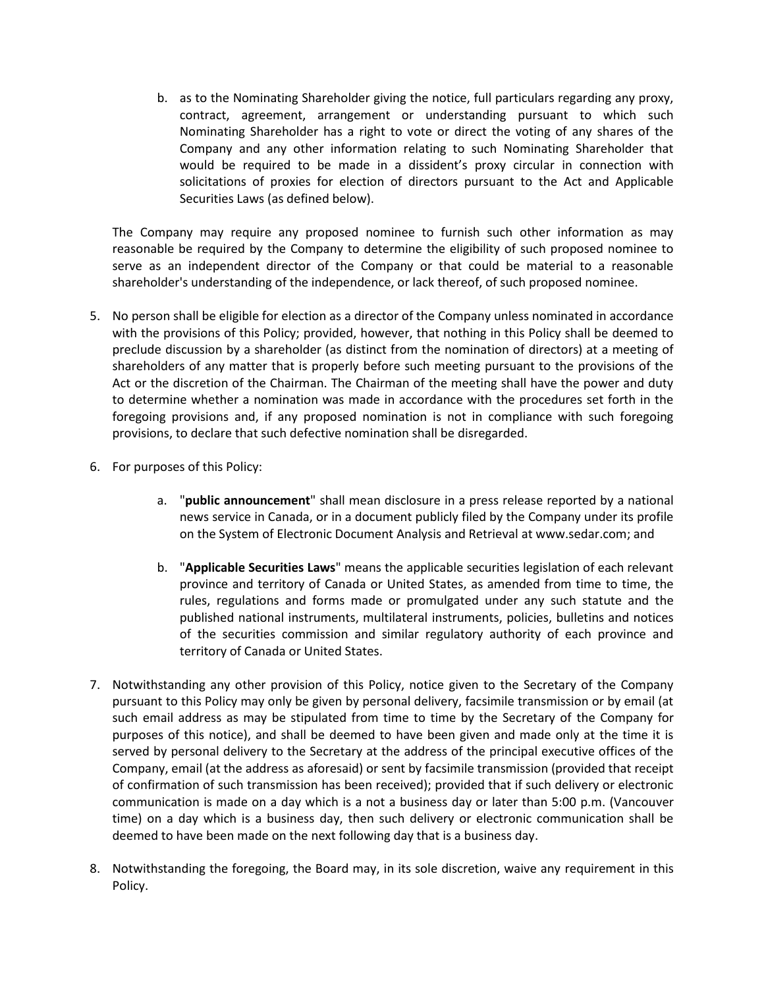b. as to the Nominating Shareholder giving the notice, full particulars regarding any proxy, contract, agreement, arrangement or understanding pursuant to which such Nominating Shareholder has a right to vote or direct the voting of any shares of the Company and any other information relating to such Nominating Shareholder that would be required to be made in a dissident's proxy circular in connection with solicitations of proxies for election of directors pursuant to the Act and Applicable Securities Laws (as defined below).

The Company may require any proposed nominee to furnish such other information as may reasonable be required by the Company to determine the eligibility of such proposed nominee to serve as an independent director of the Company or that could be material to a reasonable shareholder's understanding of the independence, or lack thereof, of such proposed nominee.

- 5. No person shall be eligible for election as a director of the Company unless nominated in accordance with the provisions of this Policy; provided, however, that nothing in this Policy shall be deemed to preclude discussion by a shareholder (as distinct from the nomination of directors) at a meeting of shareholders of any matter that is properly before such meeting pursuant to the provisions of the Act or the discretion of the Chairman. The Chairman of the meeting shall have the power and duty to determine whether a nomination was made in accordance with the procedures set forth in the foregoing provisions and, if any proposed nomination is not in compliance with such foregoing provisions, to declare that such defective nomination shall be disregarded.
- 6. For purposes of this Policy:
	- a. "**public announcement**" shall mean disclosure in a press release reported by a national news service in Canada, or in a document publicly filed by the Company under its profile on the System of Electronic Document Analysis and Retrieval at www.sedar.com; and
	- b. "**Applicable Securities Laws**" means the applicable securities legislation of each relevant province and territory of Canada or United States, as amended from time to time, the rules, regulations and forms made or promulgated under any such statute and the published national instruments, multilateral instruments, policies, bulletins and notices of the securities commission and similar regulatory authority of each province and territory of Canada or United States.
- 7. Notwithstanding any other provision of this Policy, notice given to the Secretary of the Company pursuant to this Policy may only be given by personal delivery, facsimile transmission or by email (at such email address as may be stipulated from time to time by the Secretary of the Company for purposes of this notice), and shall be deemed to have been given and made only at the time it is served by personal delivery to the Secretary at the address of the principal executive offices of the Company, email (at the address as aforesaid) or sent by facsimile transmission (provided that receipt of confirmation of such transmission has been received); provided that if such delivery or electronic communication is made on a day which is a not a business day or later than 5:00 p.m. (Vancouver time) on a day which is a business day, then such delivery or electronic communication shall be deemed to have been made on the next following day that is a business day.
- 8. Notwithstanding the foregoing, the Board may, in its sole discretion, waive any requirement in this Policy.